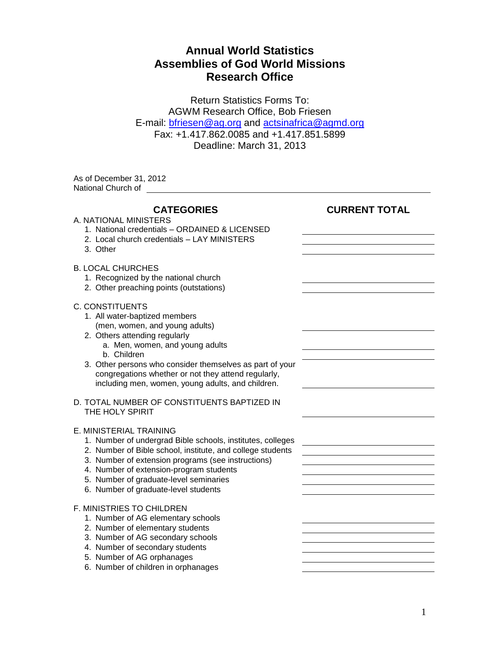## **Annual World Statistics Assemblies of God World Missions Research Office**

Return Statistics Forms To: AGWM Research Office, Bob Friesen E-mail: [bfriesen@ag.org](mailto:bfriesen@ag.org) and [actsinafrica@agmd.org](mailto:actsinafrica@agmd.org) Fax: +1.417.862.0085 and +1.417.851.5899 Deadline: March 31, 2013

As of December 31, 2012

| National Church of                                                                                                                                                                                                                                                                                                                                   |                      |
|------------------------------------------------------------------------------------------------------------------------------------------------------------------------------------------------------------------------------------------------------------------------------------------------------------------------------------------------------|----------------------|
| <b>CATEGORIES</b><br>A. NATIONAL MINISTERS<br>1. National credentials - ORDAINED & LICENSED<br>2. Local church credentials - LAY MINISTERS<br>3. Other                                                                                                                                                                                               | <b>CURRENT TOTAL</b> |
| <b>B. LOCAL CHURCHES</b><br>1. Recognized by the national church<br>2. Other preaching points (outstations)                                                                                                                                                                                                                                          |                      |
| <b>C. CONSTITUENTS</b><br>1. All water-baptized members<br>(men, women, and young adults)<br>2. Others attending regularly<br>a. Men, women, and young adults<br>b. Children<br>3. Other persons who consider themselves as part of your<br>congregations whether or not they attend regularly,<br>including men, women, young adults, and children. |                      |
| D. TOTAL NUMBER OF CONSTITUENTS BAPTIZED IN<br>THE HOLY SPIRIT                                                                                                                                                                                                                                                                                       |                      |
| E. MINISTERIAL TRAINING<br>1. Number of undergrad Bible schools, institutes, colleges<br>2. Number of Bible school, institute, and college students<br>3. Number of extension programs (see instructions)<br>4. Number of extension-program students<br>5. Number of graduate-level seminaries<br>6. Number of graduate-level students               |                      |
| F. MINISTRIES TO CHILDREN<br>1. Number of AG elementary schools<br>2. Number of elementary students<br>3. Number of AG secondary schools<br>4. Number of secondary students<br>5. Number of AG orphanages<br>6. Number of children in orphanages                                                                                                     |                      |